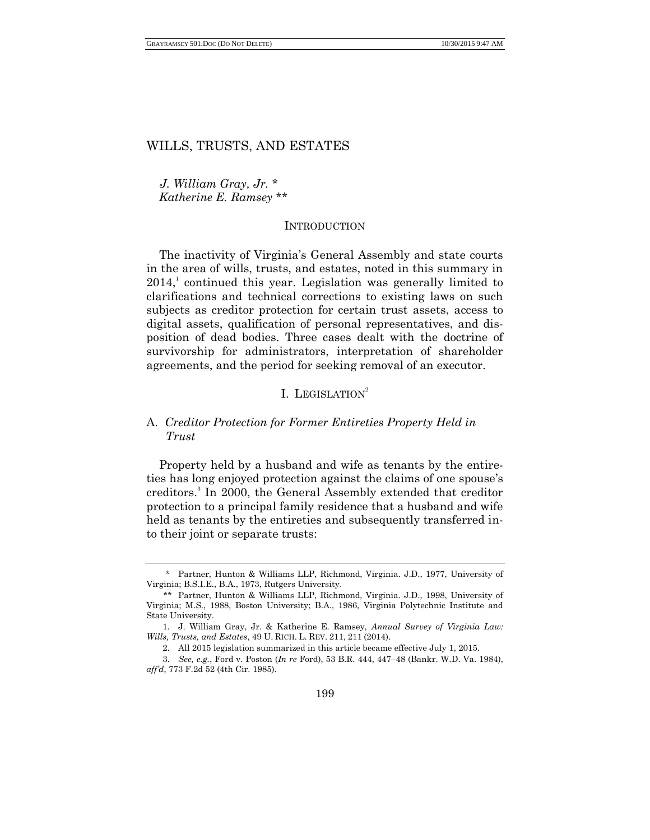*J. William Gray, Jr.* \* *Katherine E. Ramsey* \*\*

#### **INTRODUCTION**

The inactivity of Virginia's General Assembly and state courts in the area of wills, trusts, and estates, noted in this summary in  $2014$ , continued this year. Legislation was generally limited to clarifications and technical corrections to existing laws on such subjects as creditor protection for certain trust assets, access to digital assets, qualification of personal representatives, and disposition of dead bodies. Three cases dealt with the doctrine of survivorship for administrators, interpretation of shareholder agreements, and the period for seeking removal of an executor.

# I. LEGISLATION<sup>2</sup>

# A. *Creditor Protection for Former Entireties Property Held in Trust*

Property held by a husband and wife as tenants by the entireties has long enjoyed protection against the claims of one spouse's creditors.<sup>3</sup> In 2000, the General Assembly extended that creditor protection to a principal family residence that a husband and wife held as tenants by the entireties and subsequently transferred into their joint or separate trusts:

<sup>\*</sup> Partner, Hunton & Williams LLP, Richmond, Virginia. J.D., 1977, University of Virginia; B.S.I.E., B.A., 1973, Rutgers University.

<sup>\*\*</sup> Partner, Hunton & Williams LLP, Richmond, Virginia. J.D., 1998, University of Virginia; M.S., 1988, Boston University; B.A., 1986, Virginia Polytechnic Institute and State University.

<sup>1.</sup> J. William Gray, Jr. & Katherine E. Ramsey, *Annual Survey of Virginia Law: Wills, Trusts, and Estates*, 49 U. RICH. L. REV. 211, 211 (2014).

<sup>2.</sup> All 2015 legislation summarized in this article became effective July 1, 2015.

<sup>3.</sup> *See, e.g.*, Ford v. Poston (*In re* Ford), 53 B.R. 444, 447–48 (Bankr. W.D. Va. 1984), *aff'd*, 773 F.2d 52 (4th Cir. 1985).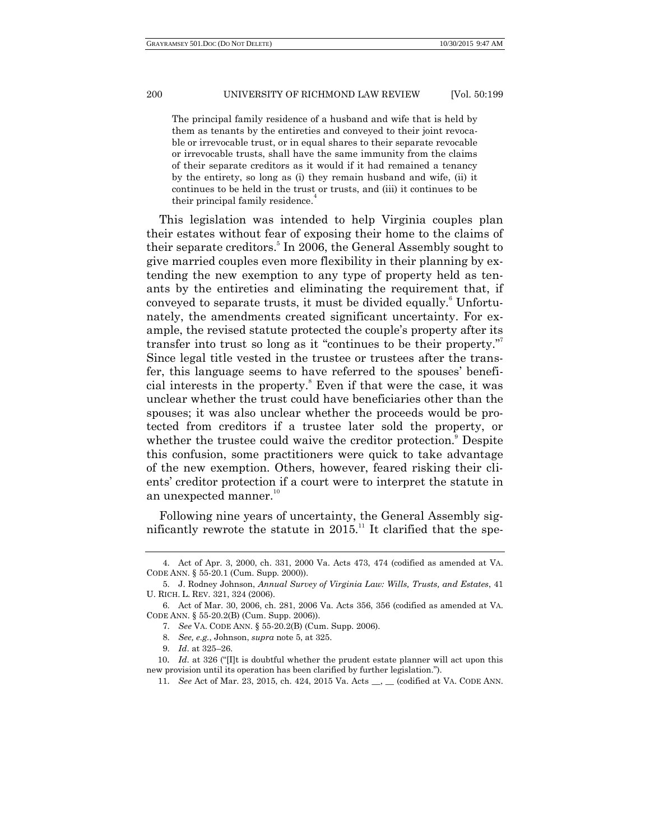The principal family residence of a husband and wife that is held by them as tenants by the entireties and conveyed to their joint revocable or irrevocable trust, or in equal shares to their separate revocable or irrevocable trusts, shall have the same immunity from the claims of their separate creditors as it would if it had remained a tenancy by the entirety, so long as (i) they remain husband and wife, (ii) it continues to be held in the trust or trusts, and (iii) it continues to be their principal family residence.<sup>4</sup>

This legislation was intended to help Virginia couples plan their estates without fear of exposing their home to the claims of their separate creditors.<sup>5</sup> In 2006, the General Assembly sought to give married couples even more flexibility in their planning by extending the new exemption to any type of property held as tenants by the entireties and eliminating the requirement that, if conveyed to separate trusts, it must be divided equally.<sup>6</sup> Unfortunately, the amendments created significant uncertainty. For example, the revised statute protected the couple's property after its transfer into trust so long as it "continues to be their property." Since legal title vested in the trustee or trustees after the transfer, this language seems to have referred to the spouses' beneficial interests in the property. <sup>8</sup> Even if that were the case, it was unclear whether the trust could have beneficiaries other than the spouses; it was also unclear whether the proceeds would be protected from creditors if a trustee later sold the property, or whether the trustee could waive the creditor protection.<sup>9</sup> Despite this confusion, some practitioners were quick to take advantage of the new exemption. Others, however, feared risking their clients' creditor protection if a court were to interpret the statute in an unexpected manner.<sup>10</sup>

Following nine years of uncertainty, the General Assembly significantly rewrote the statute in  $2015$ .<sup>11</sup> It clarified that the spe-

<sup>4.</sup> Act of Apr. 3, 2000, ch. 331, 2000 Va. Acts 473, 474 (codified as amended at VA. CODE ANN. § 55-20.1 (Cum. Supp. 2000)).

<sup>5.</sup> J. Rodney Johnson, *Annual Survey of Virginia Law: Wills, Trusts, and Estates*, 41 U. RICH. L. REV. 321, 324 (2006).

<sup>6.</sup> Act of Mar. 30, 2006, ch. 281, 2006 Va. Acts 356, 356 (codified as amended at VA. CODE ANN. § 55-20.2(B) (Cum. Supp. 2006)).

<sup>7.</sup> *See* VA. CODE ANN. § 55-20.2(B) (Cum. Supp. 2006).

<sup>8.</sup> *See, e.g.*, Johnson, *supra* note 5, at 325.

<sup>9.</sup> *Id*. at 325–26.

<sup>10.</sup> *Id.* at 326 ("[I]t is doubtful whether the prudent estate planner will act upon this new provision until its operation has been clarified by further legislation.").

<sup>11.</sup> *See* Act of Mar. 23, 2015, ch. 424, 2015 Va. Acts \_\_, \_\_ (codified at VA. CODE ANN.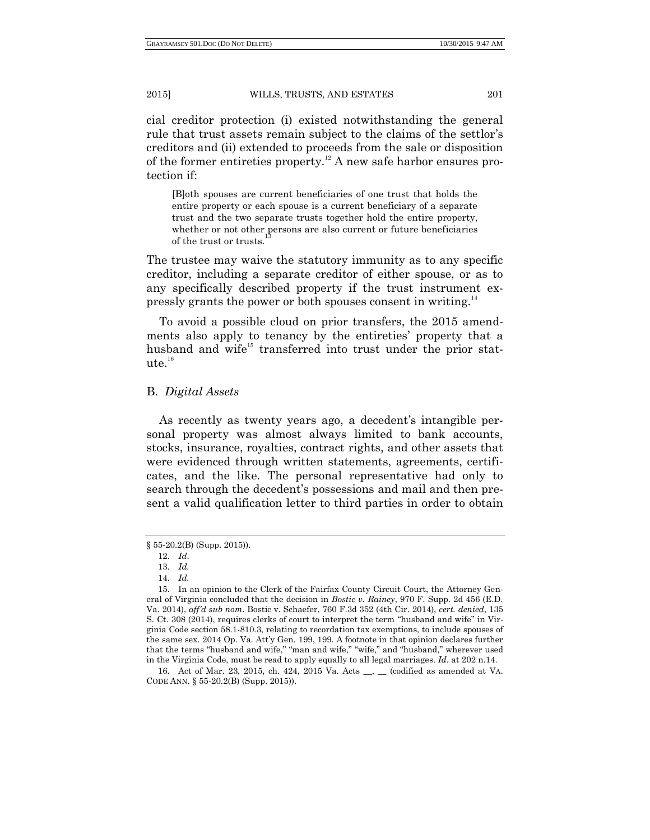cial creditor protection (i) existed notwithstanding the general rule that trust assets remain subject to the claims of the settlor's creditors and (ii) extended to proceeds from the sale or disposition of the former entireties property.<sup>12</sup> A new safe harbor ensures protection if:

[B]oth spouses are current beneficiaries of one trust that holds the entire property or each spouse is a current beneficiary of a separate trust and the two separate trusts together hold the entire property, whether or not other persons are also current or future beneficiaries of the trust or trusts.

The trustee may waive the statutory immunity as to any specific creditor, including a separate creditor of either spouse, or as to any specifically described property if the trust instrument expressly grants the power or both spouses consent in writing.<sup>14</sup>

To avoid a possible cloud on prior transfers, the 2015 amendments also apply to tenancy by the entireties' property that a husband and wife<sup>15</sup> transferred into trust under the prior stat $ute.<sup>16</sup>$ 

## B. *Digital Assets*

As recently as twenty years ago, a decedent's intangible personal property was almost always limited to bank accounts, stocks, insurance, royalties, contract rights, and other assets that were evidenced through written statements, agreements, certificates, and the like. The personal representative had only to search through the decedent's possessions and mail and then present a valid qualification letter to third parties in order to obtain

<sup>§</sup> 55-20.2(B) (Supp. 2015)).

<sup>12.</sup> *Id*.

<sup>13.</sup> *Id.*

<sup>14.</sup> *Id.*

<sup>15.</sup> In an opinion to the Clerk of the Fairfax County Circuit Court, the Attorney General of Virginia concluded that the decision in *Bostic v. Rainey*, 970 F. Supp. 2d 456 (E.D. Va. 2014), *aff'd sub nom*. Bostic v. Schaefer, 760 F.3d 352 (4th Cir. 2014), *cert. denied*, 135 S. Ct. 308 (2014), requires clerks of court to interpret the term "husband and wife" in Virginia Code section 58.1-810.3, relating to recordation tax exemptions, to include spouses of the same sex. 2014 Op. Va. Att'y Gen. 199, 199. A footnote in that opinion declares further that the terms "husband and wife," "man and wife," "wife," and "husband," wherever used in the Virginia Code, must be read to apply equally to all legal marriages. *Id*. at 202 n.14.

<sup>16.</sup> Act of Mar. 23, 2015, ch. 424, 2015 Va. Acts \_\_, \_\_ (codified as amended at VA. CODE ANN. § 55-20.2(B) (Supp. 2015)).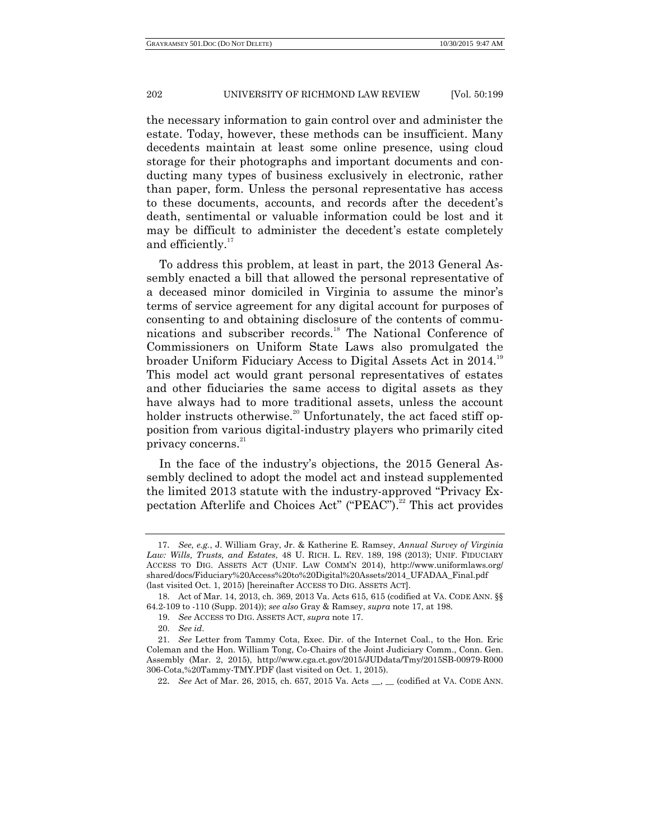the necessary information to gain control over and administer the estate. Today, however, these methods can be insufficient. Many decedents maintain at least some online presence, using cloud storage for their photographs and important documents and conducting many types of business exclusively in electronic, rather than paper, form. Unless the personal representative has access to these documents, accounts, and records after the decedent's death, sentimental or valuable information could be lost and it may be difficult to administer the decedent's estate completely and efficiently. $17$ 

To address this problem, at least in part, the 2013 General Assembly enacted a bill that allowed the personal representative of a deceased minor domiciled in Virginia to assume the minor's terms of service agreement for any digital account for purposes of consenting to and obtaining disclosure of the contents of communications and subscriber records.<sup>18</sup> The National Conference of Commissioners on Uniform State Laws also promulgated the broader Uniform Fiduciary Access to Digital Assets Act in 2014.<sup>19</sup> This model act would grant personal representatives of estates and other fiduciaries the same access to digital assets as they have always had to more traditional assets, unless the account holder instructs otherwise.<sup>20</sup> Unfortunately, the act faced stiff opposition from various digital-industry players who primarily cited privacy concerns.<sup>21</sup>

In the face of the industry's objections, the 2015 General Assembly declined to adopt the model act and instead supplemented the limited 2013 statute with the industry-approved "Privacy Expectation Afterlife and Choices Act" ("PEAC").<sup>22</sup> This act provides

<sup>17</sup>. *See, e.g.*, J. William Gray, Jr. & Katherine E. Ramsey, *Annual Survey of Virginia Law: Wills, Trusts, and Estates*, 48 U. RICH. L. REV. 189, 198 (2013); UNIF. FIDUCIARY ACCESS TO DIG. ASSETS ACT (UNIF. LAW COMM'N 2014), http://www.uniformlaws.org/ shared/docs/Fiduciary%20Access%20to%20Digital%20Assets/2014\_UFADAA\_Final.pdf (last visited Oct. 1, 2015) [hereinafter ACCESS TO DIG. ASSETS ACT].

<sup>18.</sup> Act of Mar. 14, 2013, ch. 369, 2013 Va. Acts 615, 615 (codified at VA. CODE ANN. §§ 64.2-109 to -110 (Supp. 2014)); *see also* Gray & Ramsey, *supra* note 17, at 198.

<sup>19.</sup> *See* ACCESS TO DIG. ASSETS ACT, *supra* note 17.

<sup>20.</sup> *See id*.

<sup>21.</sup> *See* Letter from Tammy Cota, Exec. Dir. of the Internet Coal., to the Hon. Eric Coleman and the Hon. William Tong, Co-Chairs of the Joint Judiciary Comm., Conn. Gen. Assembly (Mar. 2, 2015), http://www.cga.ct.gov/2015/JUDdata/Tmy/2015SB-00979-R000 306-Cota,%20Tammy-TMY.PDF (last visited on Oct. 1, 2015).

<sup>22</sup>. *See* Act of Mar. 26, 2015, ch. 657, 2015 Va. Acts \_\_, \_\_ (codified at VA. CODE ANN.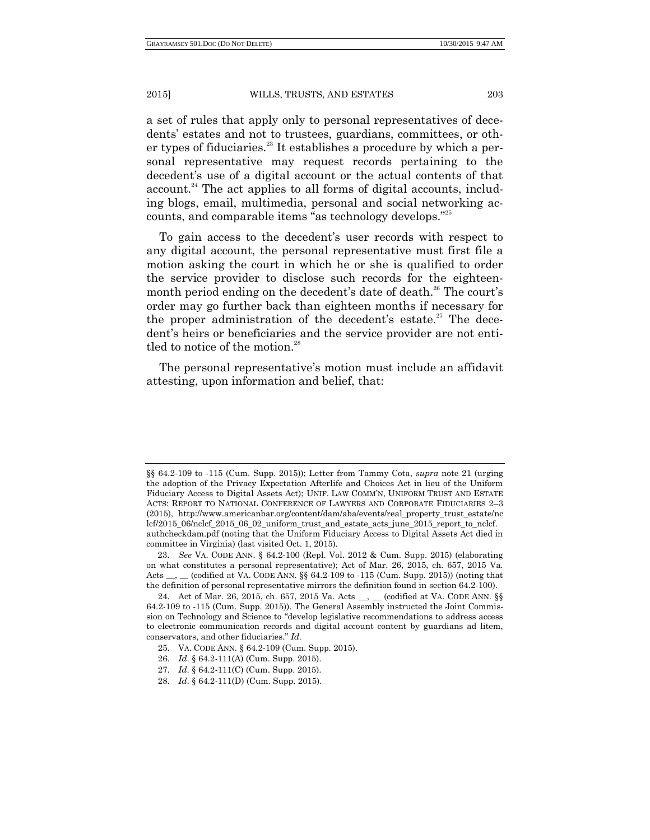a set of rules that apply only to personal representatives of decedents' estates and not to trustees, guardians, committees, or other types of fiduciaries. $^{23}$  It establishes a procedure by which a personal representative may request records pertaining to the decedent's use of a digital account or the actual contents of that  $account<sup>24</sup>$ . The act applies to all forms of digital accounts, including blogs, email, multimedia, personal and social networking accounts, and comparable items "as technology develops."<sup>25</sup>

To gain access to the decedent's user records with respect to any digital account, the personal representative must first file a motion asking the court in which he or she is qualified to order the service provider to disclose such records for the eighteenmonth period ending on the decedent's date of death.<sup>26</sup> The court's order may go further back than eighteen months if necessary for the proper administration of the decedent's estate.<sup>27</sup> The decedent's heirs or beneficiaries and the service provider are not entitled to notice of the motion. $^{28}$ 

The personal representative's motion must include an affidavit attesting, upon information and belief, that:

<sup>§§ 64.2-109</sup> to -115 (Cum. Supp. 2015)); Letter from Tammy Cota, *supra* note 21 (urging the adoption of the Privacy Expectation Afterlife and Choices Act in lieu of the Uniform Fiduciary Access to Digital Assets Act); UNIF. LAW COMM'N, UNIFORM TRUST AND ESTATE ACTS: REPORT TO NATIONAL CONFERENCE OF LAWYERS AND CORPORATE FIDUCIARIES 2–3 (2015), http://www.americanbar.org/content/dam/aba/events/real\_property\_trust\_estate/nc lcf/2015\_06/nclcf\_2015\_06\_02\_uniform\_trust\_and\_estate\_acts\_june\_2015\_report\_to\_nclcf. authcheckdam.pdf (noting that the Uniform Fiduciary Access to Digital Assets Act died in committee in Virginia) (last visited Oct. 1, 2015).

<sup>23</sup>. *See* VA. CODE ANN. § 64.2-100 (Repl. Vol. 2012 & Cum. Supp. 2015) (elaborating on what constitutes a personal representative); Act of Mar. 26, 2015, ch. 657, 2015 Va. Acts \_\_, \_\_ (codified at VA. CODE ANN. §§ 64.2-109 to -115 (Cum. Supp. 2015)) (noting that the definition of personal representative mirrors the definition found in section 64.2-100).

<sup>24.</sup> Act of Mar. 26, 2015, ch. 657, 2015 Va. Acts \_\_, \_\_ (codified at VA. CODE ANN. §§ 64.2-109 to -115 (Cum. Supp. 2015)). The General Assembly instructed the Joint Commission on Technology and Science to "develop legislative recommendations to address access to electronic communication records and digital account content by guardians ad litem, conservators, and other fiduciaries." Id.

<sup>25.</sup> VA. CODE ANN. § 64.2-109 (Cum. Supp. 2015).

<sup>26.</sup> *Id*. § 64.2-111(A) (Cum. Supp. 2015).

<sup>27.</sup> *Id*. § 64.2-111(C) (Cum. Supp. 2015).

<sup>28.</sup> *Id*. § 64.2-111(D) (Cum. Supp. 2015).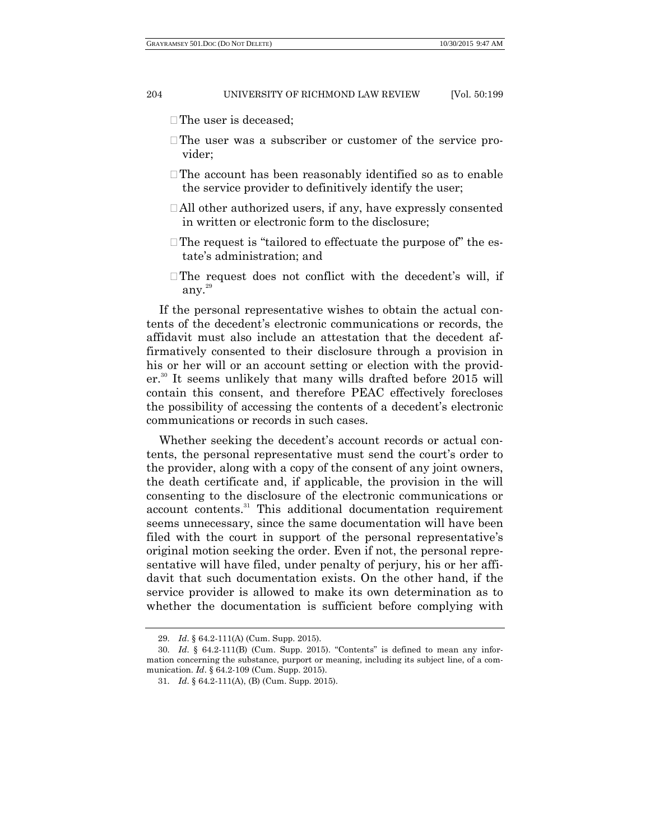- The user is deceased:
- The user was a subscriber or customer of the service provider;
- •The account has been reasonably identified so as to enable the service provider to definitively identify the user;
- All other authorized users, if any, have expressly consented in written or electronic form to the disclosure;
- The request is "tailored to effectuate the purpose of" the estate's administration; and
- The request does not conflict with the decedent's will, if any. 29

If the personal representative wishes to obtain the actual contents of the decedent's electronic communications or records, the affidavit must also include an attestation that the decedent affirmatively consented to their disclosure through a provision in his or her will or an account setting or election with the provider.<sup>30</sup> It seems unlikely that many wills drafted before 2015 will contain this consent, and therefore PEAC effectively forecloses the possibility of accessing the contents of a decedent's electronic communications or records in such cases.

Whether seeking the decedent's account records or actual contents, the personal representative must send the court's order to the provider, along with a copy of the consent of any joint owners, the death certificate and, if applicable, the provision in the will consenting to the disclosure of the electronic communications or account contents.<sup>31</sup> This additional documentation requirement seems unnecessary, since the same documentation will have been filed with the court in support of the personal representative's original motion seeking the order. Even if not, the personal representative will have filed, under penalty of perjury, his or her affidavit that such documentation exists. On the other hand, if the service provider is allowed to make its own determination as to whether the documentation is sufficient before complying with

<sup>29.</sup> *Id*. § 64.2-111(A) (Cum. Supp. 2015).

 $30.$  *Id.*  $\frac{64.2 \cdot 111}{B}$  (Cum. Supp. 2015). "Contents" is defined to mean any information concerning the substance, purport or meaning, including its subject line, of a communication. *Id*. § 64.2-109 (Cum. Supp. 2015).

<sup>31.</sup> *Id*. § 64.2-111(A), (B) (Cum. Supp. 2015).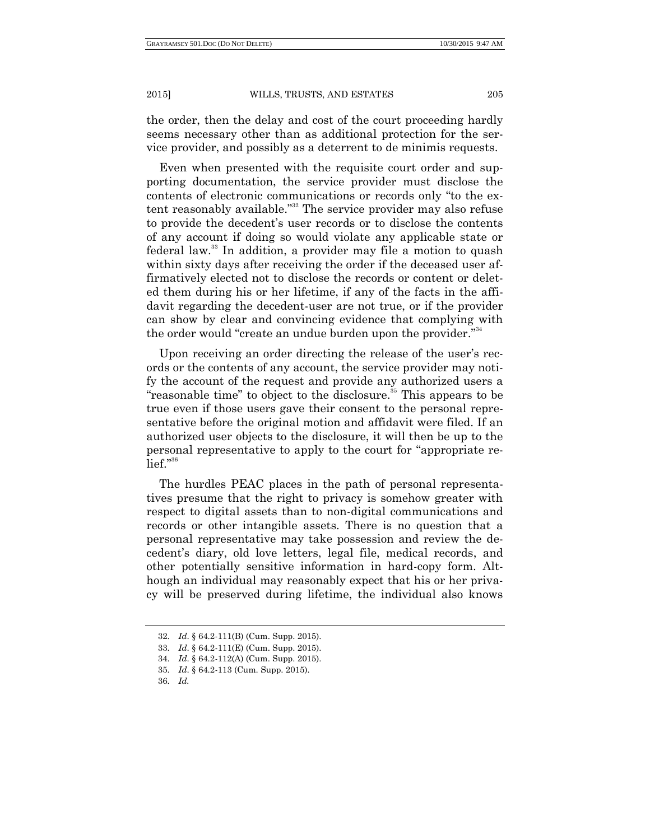the order, then the delay and cost of the court proceeding hardly seems necessary other than as additional protection for the service provider, and possibly as a deterrent to de minimis requests.

Even when presented with the requisite court order and supporting documentation, the service provider must disclose the contents of electronic communications or records only "to the extent reasonably available."<sup>32</sup> The service provider may also refuse to provide the decedent's user records or to disclose the contents of any account if doing so would violate any applicable state or federal law.<sup>33</sup> In addition, a provider may file a motion to quash within sixty days after receiving the order if the deceased user affirmatively elected not to disclose the records or content or deleted them during his or her lifetime, if any of the facts in the affidavit regarding the decedent-user are not true, or if the provider can show by clear and convincing evidence that complying with the order would "create an undue burden upon the provider."<sup>34</sup>

Upon receiving an order directing the release of the user's records or the contents of any account, the service provider may notify the account of the request and provide any authorized users a "reasonable time" to object to the disclosure.<sup>35</sup> This appears to be true even if those users gave their consent to the personal representative before the original motion and affidavit were filed. If an authorized user objects to the disclosure, it will then be up to the personal representative to apply to the court for "appropriate re- $_{\mathrm{left}}$ ." $^{\mathrm{36}}$ 

The hurdles PEAC places in the path of personal representatives presume that the right to privacy is somehow greater with respect to digital assets than to non-digital communications and records or other intangible assets. There is no question that a personal representative may take possession and review the decedent's diary, old love letters, legal file, medical records, and other potentially sensitive information in hard-copy form. Although an individual may reasonably expect that his or her privacy will be preserved during lifetime, the individual also knows

<sup>32.</sup> *Id*. § 64.2-111(B) (Cum. Supp. 2015).

<sup>33.</sup> *Id*. § 64.2-111(E) (Cum. Supp. 2015).

<sup>34.</sup> *Id*. § 64.2-112(A) (Cum. Supp. 2015).

<sup>35.</sup> *Id*. § 64.2-113 (Cum. Supp. 2015).

<sup>36.</sup> *Id.*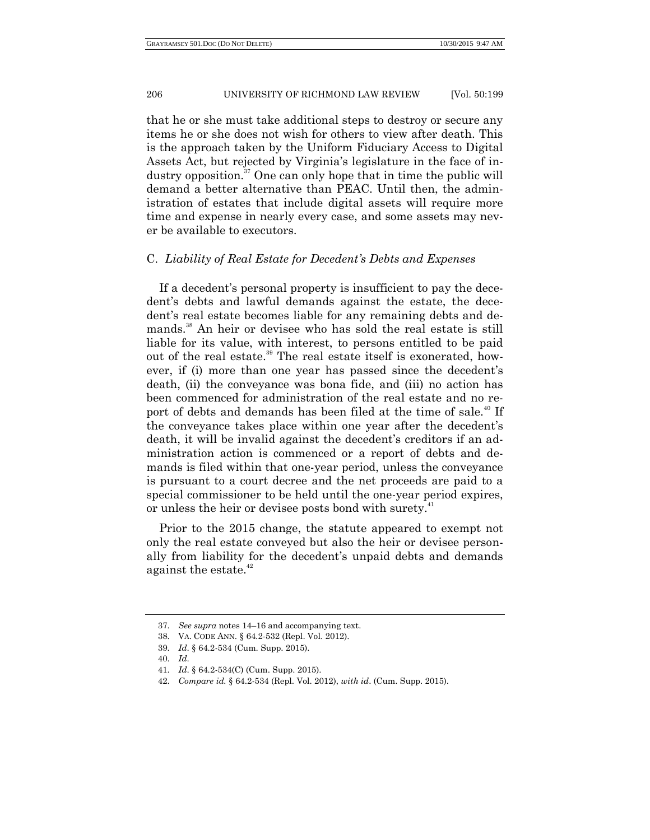that he or she must take additional steps to destroy or secure any items he or she does not wish for others to view after death. This is the approach taken by the Uniform Fiduciary Access to Digital Assets Act, but rejected by Virginia's legislature in the face of industry opposition. $37$  One can only hope that in time the public will demand a better alternative than PEAC. Until then, the administration of estates that include digital assets will require more time and expense in nearly every case, and some assets may never be available to executors.

## C. *Liability of Real Estate for Decedent's Debts and Expenses*

If a decedent's personal property is insufficient to pay the decedent's debts and lawful demands against the estate, the decedent's real estate becomes liable for any remaining debts and demands.<sup>38</sup> An heir or devisee who has sold the real estate is still liable for its value, with interest, to persons entitled to be paid out of the real estate.<sup>39</sup> The real estate itself is exonerated, however, if (i) more than one year has passed since the decedent's death, (ii) the conveyance was bona fide, and (iii) no action has been commenced for administration of the real estate and no report of debts and demands has been filed at the time of sale.<sup>40</sup> If the conveyance takes place within one year after the decedent's death, it will be invalid against the decedent's creditors if an administration action is commenced or a report of debts and demands is filed within that one-year period, unless the conveyance is pursuant to a court decree and the net proceeds are paid to a special commissioner to be held until the one-year period expires, or unless the heir or devisee posts bond with surety.<sup>41</sup>

Prior to the 2015 change, the statute appeared to exempt not only the real estate conveyed but also the heir or devisee personally from liability for the decedent's unpaid debts and demands against the estate. $42$ 

<sup>37.</sup> *See supra* notes 14–16 and accompanying text.

<sup>38.</sup> VA. CODE ANN. § 64.2-532 (Repl. Vol. 2012).

<sup>39.</sup> *Id*. § 64.2-534 (Cum. Supp. 2015).

<sup>40.</sup> *Id*.

<sup>41.</sup> *Id*. § 64.2-534(C) (Cum. Supp. 2015).

<sup>42.</sup> *Compare id.* § 64.2-534 (Repl. Vol. 2012), *with id*. (Cum. Supp. 2015).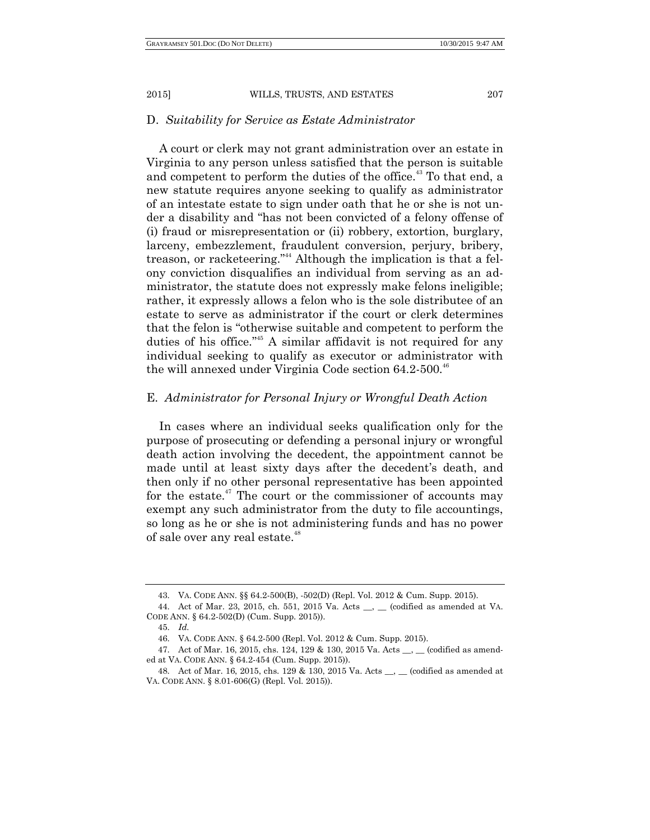#### D. *Suitability for Service as Estate Administrator*

A court or clerk may not grant administration over an estate in Virginia to any person unless satisfied that the person is suitable and competent to perform the duties of the office.<sup>43</sup> To that end, a new statute requires anyone seeking to qualify as administrator of an intestate estate to sign under oath that he or she is not under a disability and "has not been convicted of a felony offense of (i) fraud or misrepresentation or (ii) robbery, extortion, burglary, larceny, embezzlement, fraudulent conversion, perjury, bribery, treason, or racketeering."<sup>44</sup> Although the implication is that a felony conviction disqualifies an individual from serving as an administrator, the statute does not expressly make felons ineligible; rather, it expressly allows a felon who is the sole distributee of an estate to serve as administrator if the court or clerk determines that the felon is "otherwise suitable and competent to perform the duties of his office."<sup>45</sup> A similar affidavit is not required for any individual seeking to qualify as executor or administrator with the will annexed under Virginia Code section  $64.2-500^{46}$ 

## E. *Administrator for Personal Injury or Wrongful Death Action*

In cases where an individual seeks qualification only for the purpose of prosecuting or defending a personal injury or wrongful death action involving the decedent, the appointment cannot be made until at least sixty days after the decedent's death, and then only if no other personal representative has been appointed for the estate.<sup>47</sup> The court or the commissioner of accounts may exempt any such administrator from the duty to file accountings, so long as he or she is not administering funds and has no power of sale over any real estate.<sup>48</sup>

<sup>43.</sup> VA. CODE ANN. §§ 64.2-500(B), -502(D) (Repl. Vol. 2012 & Cum. Supp. 2015).

<sup>44.</sup> Act of Mar. 23, 2015, ch. 551, 2015 Va. Acts \_\_, \_\_ (codified as amended at VA. CODE ANN. § 64.2-502(D) (Cum. Supp. 2015)).

<sup>45.</sup> *Id.*

<sup>46.</sup> VA. CODE ANN. § 64.2-500 (Repl. Vol. 2012 & Cum. Supp. 2015).

<sup>47.</sup> Act of Mar. 16, 2015, chs. 124, 129 & 130, 2015 Va. Acts \_\_, \_\_ (codified as amended at VA. CODE ANN. § 64.2-454 (Cum. Supp. 2015)).

<sup>48.</sup> Act of Mar. 16, 2015, chs. 129 & 130, 2015 Va. Acts \_\_, \_\_ (codified as amended at VA. CODE ANN. § 8.01-606(G) (Repl. Vol. 2015)).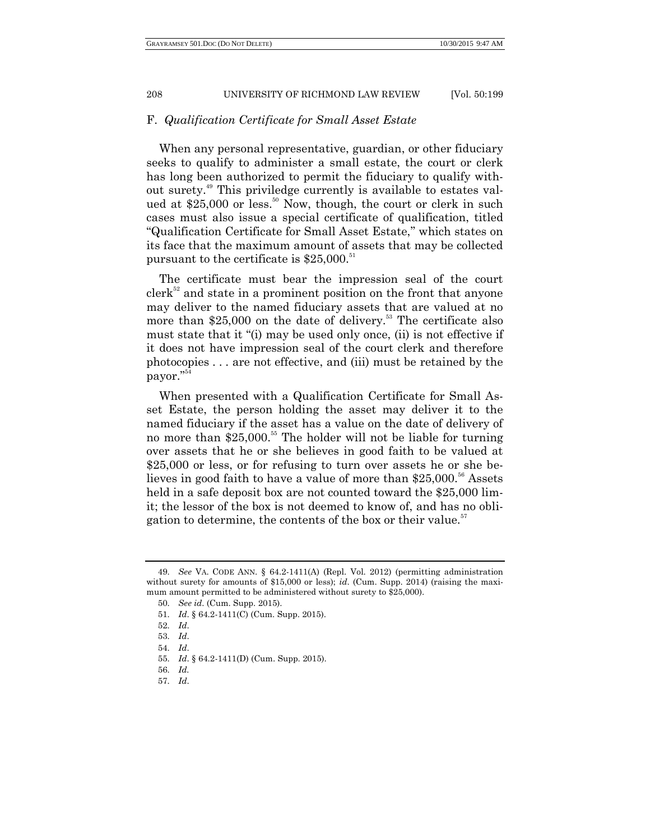#### F. *Qualification Certificate for Small Asset Estate*

When any personal representative, guardian, or other fiduciary seeks to qualify to administer a small estate, the court or clerk has long been authorized to permit the fiduciary to qualify without surety. <sup>49</sup> This priviledge currently is available to estates valued at  $$25,000$  or less.<sup>50</sup> Now, though, the court or clerk in such cases must also issue a special certificate of qualification, titled ―Qualification Certificate for Small Asset Estate,‖ which states on its face that the maximum amount of assets that may be collected pursuant to the certificate is  $$25,000$ .<sup>51</sup>

The certificate must bear the impression seal of the court  $\text{clerk}^{52}$  and state in a prominent position on the front that anyone may deliver to the named fiduciary assets that are valued at no more than  $$25,000$  on the date of delivery.<sup>53</sup> The certificate also must state that it "(i) may be used only once, (ii) is not effective if it does not have impression seal of the court clerk and therefore photocopies . . . are not effective, and (iii) must be retained by the payor."<sup>54</sup>

When presented with a Qualification Certificate for Small Asset Estate, the person holding the asset may deliver it to the named fiduciary if the asset has a value on the date of delivery of no more than \$25,000.<sup>55</sup> The holder will not be liable for turning over assets that he or she believes in good faith to be valued at \$25,000 or less, or for refusing to turn over assets he or she believes in good faith to have a value of more than  $$25,000$ .<sup>56</sup> Assets held in a safe deposit box are not counted toward the \$25,000 limit; the lessor of the box is not deemed to know of, and has no obligation to determine, the contents of the box or their value.<sup>57</sup>

51. *Id*. § 64.2-1411(C) (Cum. Supp. 2015).

57. *Id*.

<sup>49.</sup> *See* VA. CODE ANN. § 64.2-1411(A) (Repl. Vol. 2012) (permitting administration without surety for amounts of \$15,000 or less); *id*. (Cum. Supp. 2014) (raising the maximum amount permitted to be administered without surety to \$25,000).

<sup>50.</sup> *See id*. (Cum. Supp. 2015).

<sup>52.</sup> *Id*.

<sup>53.</sup> *Id*.

<sup>54.</sup> *Id*.

<sup>55.</sup> *Id*. § 64.2-1411(D) (Cum. Supp. 2015).

<sup>56.</sup> *Id.*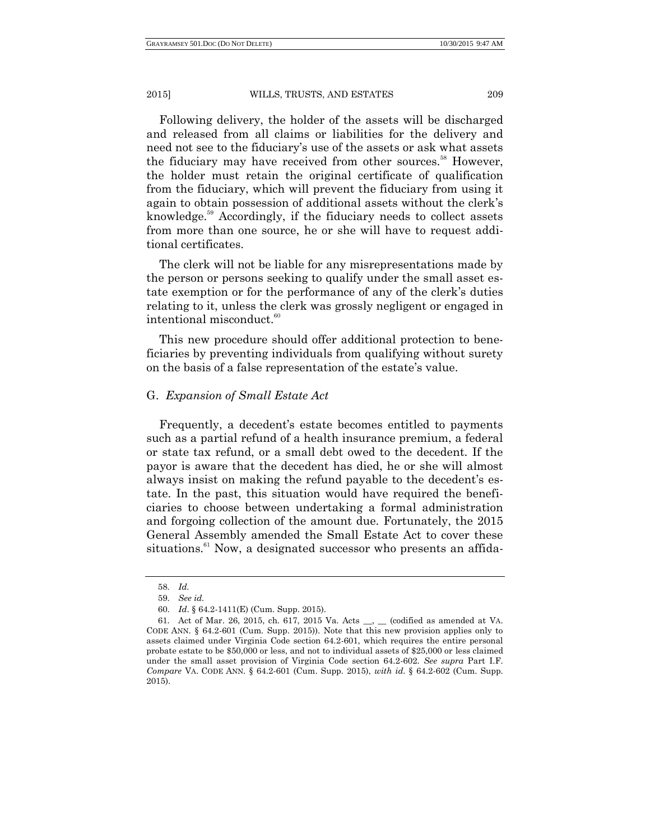Following delivery, the holder of the assets will be discharged and released from all claims or liabilities for the delivery and need not see to the fiduciary's use of the assets or ask what assets the fiduciary may have received from other sources.<sup>58</sup> However, the holder must retain the original certificate of qualification from the fiduciary, which will prevent the fiduciary from using it again to obtain possession of additional assets without the clerk's knowledge.<sup>59</sup> Accordingly, if the fiduciary needs to collect assets from more than one source, he or she will have to request additional certificates.

The clerk will not be liable for any misrepresentations made by the person or persons seeking to qualify under the small asset estate exemption or for the performance of any of the clerk's duties relating to it, unless the clerk was grossly negligent or engaged in intentional misconduct.<sup>60</sup>

This new procedure should offer additional protection to beneficiaries by preventing individuals from qualifying without surety on the basis of a false representation of the estate's value.

## G. *Expansion of Small Estate Act*

Frequently, a decedent's estate becomes entitled to payments such as a partial refund of a health insurance premium, a federal or state tax refund, or a small debt owed to the decedent. If the payor is aware that the decedent has died, he or she will almost always insist on making the refund payable to the decedent's estate. In the past, this situation would have required the beneficiaries to choose between undertaking a formal administration and forgoing collection of the amount due. Fortunately, the 2015 General Assembly amended the Small Estate Act to cover these situations.<sup>61</sup> Now, a designated successor who presents an affida-

<sup>58.</sup> *Id.*

<sup>59.</sup> *See id.*

<sup>60.</sup> *Id*. § 64.2-1411(E) (Cum. Supp. 2015).

<sup>61.</sup> Act of Mar. 26, 2015, ch. 617, 2015 Va. Acts \_\_, \_\_ (codified as amended at VA. CODE ANN. § 64.2-601 (Cum. Supp. 2015)). Note that this new provision applies only to assets claimed under Virginia Code section 64.2-601, which requires the entire personal probate estate to be \$50,000 or less, and not to individual assets of \$25,000 or less claimed under the small asset provision of Virginia Code section 64.2-602. *See supra* Part I.F. *Compare* VA. CODE ANN. § 64.2-601 (Cum. Supp. 2015), *with id*. § 64.2-602 (Cum. Supp. 2015).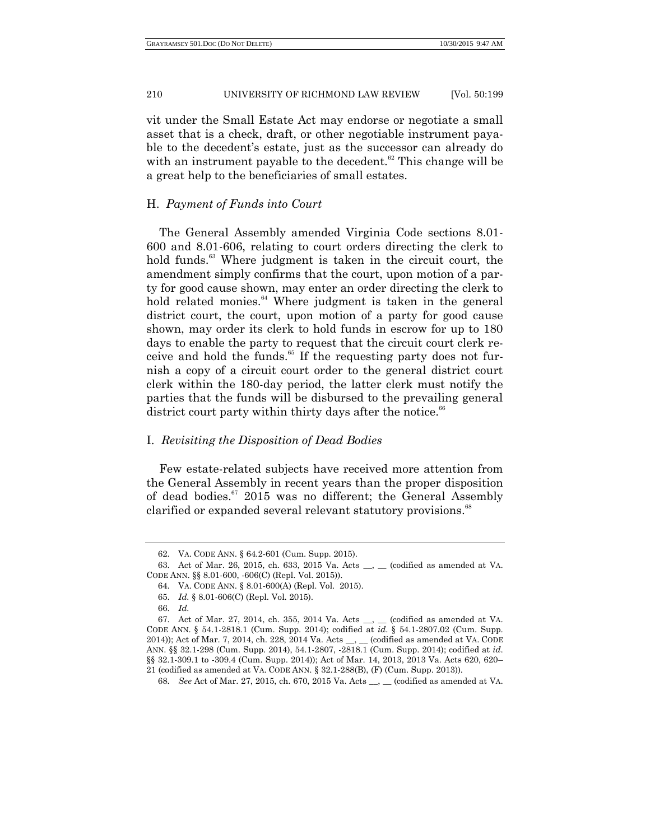vit under the Small Estate Act may endorse or negotiate a small asset that is a check, draft, or other negotiable instrument payable to the decedent's estate, just as the successor can already do with an instrument payable to the decedent.<sup>62</sup> This change will be a great help to the beneficiaries of small estates.

# H. *Payment of Funds into Court*

The General Assembly amended Virginia Code sections 8.01- 600 and 8.01-606, relating to court orders directing the clerk to hold funds.<sup>63</sup> Where judgment is taken in the circuit court, the amendment simply confirms that the court, upon motion of a party for good cause shown, may enter an order directing the clerk to hold related monies.<sup>64</sup> Where judgment is taken in the general district court, the court, upon motion of a party for good cause shown, may order its clerk to hold funds in escrow for up to 180 days to enable the party to request that the circuit court clerk receive and hold the funds. $65$  If the requesting party does not furnish a copy of a circuit court order to the general district court clerk within the 180-day period, the latter clerk must notify the parties that the funds will be disbursed to the prevailing general district court party within thirty days after the notice. $66$ 

## I. *Revisiting the Disposition of Dead Bodies*

Few estate-related subjects have received more attention from the General Assembly in recent years than the proper disposition of dead bodies.<sup>67</sup> 2015 was no different; the General Assembly clarified or expanded several relevant statutory provisions.<sup>68</sup>

66. *Id.*

<sup>62.</sup> VA. CODE ANN. § 64.2-601 (Cum. Supp. 2015).

<sup>63.</sup> Act of Mar. 26, 2015, ch. 633, 2015 Va. Acts \_\_, \_\_ (codified as amended at VA. CODE ANN. §§ 8.01-600, -606(C) (Repl. Vol. 2015)).

<sup>64.</sup> VA. CODE ANN. § 8.01-600(A) (Repl. Vol. 2015).

<sup>65.</sup> *Id.* § 8.01-606(C) (Repl. Vol. 2015).

<sup>67.</sup> Act of Mar. 27, 2014, ch. 355, 2014 Va. Acts \_\_, \_\_ (codified as amended at VA. CODE ANN. § 54.1-2818.1 (Cum. Supp. 2014); codified at *id*. § 54.1-2807.02 (Cum. Supp. 2014)); Act of Mar. 7, 2014, ch. 228, 2014 Va. Acts \_\_, \_\_ (codified as amended at VA. CODE ANN. §§ 32.1-298 (Cum. Supp. 2014), 54.1-2807, -2818.1 (Cum. Supp. 2014); codified at *id*. §§ 32.1-309.1 to -309.4 (Cum. Supp. 2014)); Act of Mar. 14, 2013, 2013 Va. Acts 620, 620– 21 (codified as amended at VA. CODE ANN. § 32.1-288(B), (F) (Cum. Supp. 2013)).

<sup>68.</sup> *See* Act of Mar. 27, 2015, ch. 670, 2015 Va. Acts \_\_, \_\_ (codified as amended at VA.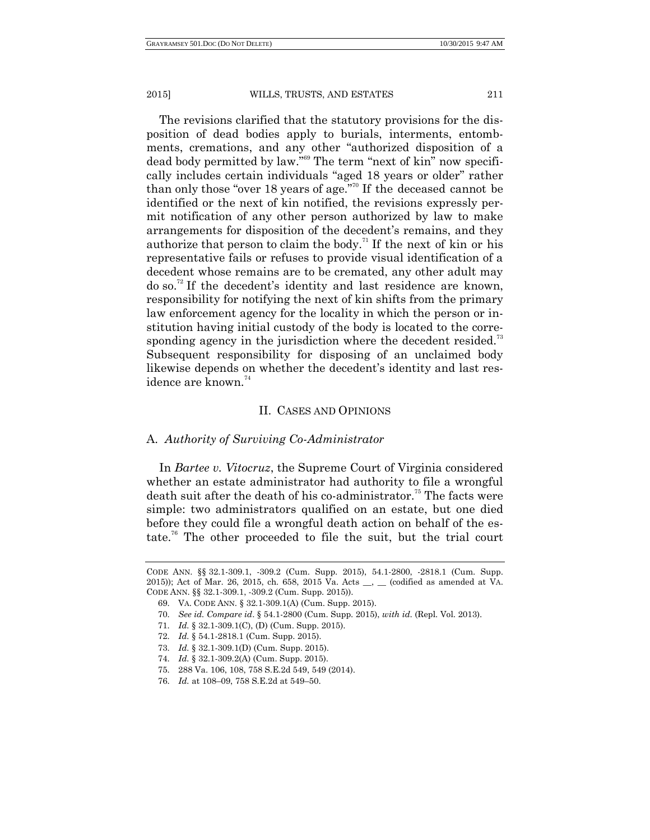The revisions clarified that the statutory provisions for the disposition of dead bodies apply to burials, interments, entombments, cremations, and any other "authorized disposition of a dead body permitted by law."<sup>69</sup> The term "next of kin" now specifically includes certain individuals "aged 18 years or older" rather than only those "over 18 years of age."<sup>70</sup> If the deceased cannot be identified or the next of kin notified, the revisions expressly permit notification of any other person authorized by law to make arrangements for disposition of the decedent's remains, and they authorize that person to claim the body.<sup>71</sup> If the next of kin or his representative fails or refuses to provide visual identification of a decedent whose remains are to be cremated, any other adult may do so.<sup>72</sup> If the decedent's identity and last residence are known, responsibility for notifying the next of kin shifts from the primary law enforcement agency for the locality in which the person or institution having initial custody of the body is located to the corresponding agency in the jurisdiction where the decedent resided.<sup>73</sup> Subsequent responsibility for disposing of an unclaimed body likewise depends on whether the decedent's identity and last residence are known. $74$ 

## II. CASES AND OPINIONS

### A. *Authority of Surviving Co-Administrator*

In *Bartee v. Vitocruz*, the Supreme Court of Virginia considered whether an estate administrator had authority to file a wrongful death suit after the death of his co-administrator.<sup>75</sup> The facts were simple: two administrators qualified on an estate, but one died before they could file a wrongful death action on behalf of the estate.<sup>76</sup> The other proceeded to file the suit, but the trial court

- 70. *See id. Compare id*. § 54.1-2800 (Cum. Supp. 2015), *with id*. (Repl. Vol. 2013).
- 71. *Id.* § 32.1-309.1(C), (D) (Cum. Supp. 2015).
- 72. *Id.* § 54.1-2818.1 (Cum. Supp. 2015).
- 73. *Id.* § 32.1-309.1(D) (Cum. Supp. 2015).
- 74. *Id.* § 32.1-309.2(A) (Cum. Supp. 2015).
- 75. 288 Va. 106, 108, 758 S.E.2d 549, 549 (2014).
- 76. *Id.* at 108–09, 758 S.E.2d at 549–50.

CODE ANN. §§ 32.1-309.1, -309.2 (Cum. Supp. 2015), 54.1-2800, -2818.1 (Cum. Supp. 2015)); Act of Mar. 26, 2015, ch. 658, 2015 Va. Acts \_\_, \_\_ (codified as amended at VA. CODE ANN. §§ 32.1-309.1, -309.2 (Cum. Supp. 2015)).

<sup>69.</sup> VA. CODE ANN. § 32.1-309.1(A) (Cum. Supp. 2015).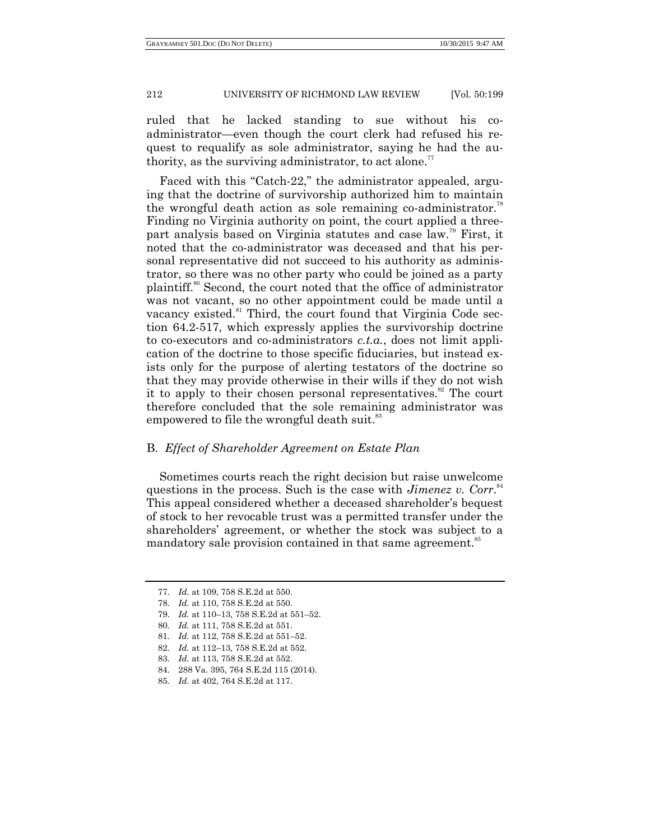ruled that he lacked standing to sue without his coadministrator—even though the court clerk had refused his request to requalify as sole administrator, saying he had the authority, as the surviving administrator, to act alone.<sup>77</sup>

Faced with this "Catch-22," the administrator appealed, arguing that the doctrine of survivorship authorized him to maintain the wrongful death action as sole remaining co-administrator.<sup>78</sup> Finding no Virginia authority on point, the court applied a threepart analysis based on Virginia statutes and case law.<sup>79</sup> First, it noted that the co-administrator was deceased and that his personal representative did not succeed to his authority as administrator, so there was no other party who could be joined as a party plaintiff.<sup>80</sup> Second, the court noted that the office of administrator was not vacant, so no other appointment could be made until a vacancy existed.<sup>81</sup> Third, the court found that Virginia Code section 64.2-517, which expressly applies the survivorship doctrine to co-executors and co-administrators *c.t.a.*, does not limit application of the doctrine to those specific fiduciaries, but instead exists only for the purpose of alerting testators of the doctrine so that they may provide otherwise in their wills if they do not wish it to apply to their chosen personal representatives.<sup>82</sup> The court therefore concluded that the sole remaining administrator was empowered to file the wrongful death suit.<sup>83</sup>

## B. *Effect of Shareholder Agreement on Estate Plan*

Sometimes courts reach the right decision but raise unwelcome questions in the process. Such is the case with *Jimenez v. Corr.*<sup>84</sup> This appeal considered whether a deceased shareholder's bequest of stock to her revocable trust was a permitted transfer under the shareholders' agreement, or whether the stock was subject to a mandatory sale provision contained in that same agreement.<sup>85</sup>

<sup>77.</sup> *Id.* at 109, 758 S.E.2d at 550.

<sup>78.</sup> *Id.* at 110, 758 S.E.2d at 550.

<sup>79.</sup> *Id.* at 110–13, 758 S.E.2d at 551–52.

<sup>80.</sup> *Id.* at 111, 758 S.E.2d at 551.

<sup>81.</sup> *Id.* at 112, 758 S.E.2d at 551–52.

<sup>82.</sup> *Id.* at 112–13, 758 S.E.2d at 552.

<sup>83.</sup> *Id.* at 113, 758 S.E.2d at 552.

<sup>84.</sup> 288 Va. 395, 764 S.E.2d 115 (2014).

<sup>85.</sup> *Id*. at 402, 764 S.E.2d at 117.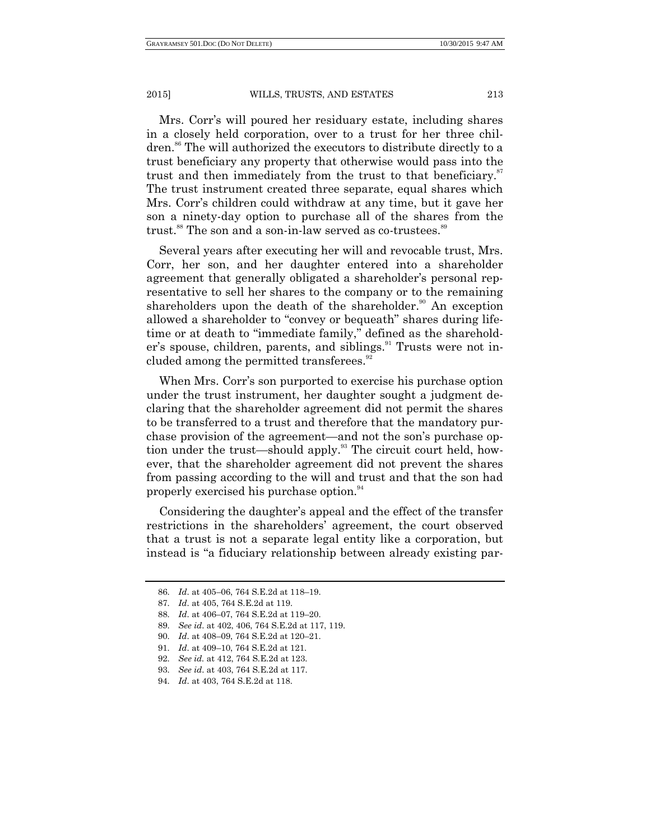Mrs. Corr's will poured her residuary estate, including shares in a closely held corporation, over to a trust for her three children.<sup>86</sup> The will authorized the executors to distribute directly to a trust beneficiary any property that otherwise would pass into the trust and then immediately from the trust to that beneficiary.<sup>87</sup> The trust instrument created three separate, equal shares which Mrs. Corr's children could withdraw at any time, but it gave her son a ninety-day option to purchase all of the shares from the trust.<sup>88</sup> The son and a son-in-law served as co-trustees.<sup>89</sup>

Several years after executing her will and revocable trust, Mrs. Corr, her son, and her daughter entered into a shareholder agreement that generally obligated a shareholder's personal representative to sell her shares to the company or to the remaining shareholders upon the death of the shareholder.<sup>90</sup> An exception allowed a shareholder to "convey or bequeath" shares during lifetime or at death to "immediate family," defined as the shareholder's spouse, children, parents, and siblings.<sup>91</sup> Trusts were not included among the permitted transferees.<sup>92</sup>

When Mrs. Corr's son purported to exercise his purchase option under the trust instrument, her daughter sought a judgment declaring that the shareholder agreement did not permit the shares to be transferred to a trust and therefore that the mandatory purchase provision of the agreement—and not the son's purchase option under the trust—should apply.<sup>93</sup> The circuit court held, however, that the shareholder agreement did not prevent the shares from passing according to the will and trust and that the son had properly exercised his purchase option.<sup>94</sup>

Considering the daughter's appeal and the effect of the transfer restrictions in the shareholders' agreement, the court observed that a trust is not a separate legal entity like a corporation, but instead is "a fiduciary relationship between already existing par-

<sup>86.</sup> *Id*. at 405–06, 764 S.E.2d at 118–19.

<sup>87.</sup> *Id*. at 405, 764 S.E.2d at 119.

<sup>88.</sup> *Id*. at 406–07, 764 S.E.2d at 119–20.

<sup>89.</sup> *See id*. at 402, 406, 764 S.E.2d at 117, 119.

<sup>90.</sup> *Id*. at 408–09, 764 S.E.2d at 120–21.

<sup>91.</sup> *Id*. at 409–10, 764 S.E.2d at 121.

<sup>92.</sup> *See id.* at 412, 764 S.E.2d at 123.

<sup>93.</sup> *See id*. at 403, 764 S.E.2d at 117.

<sup>94.</sup> *Id*. at 403, 764 S.E.2d at 118.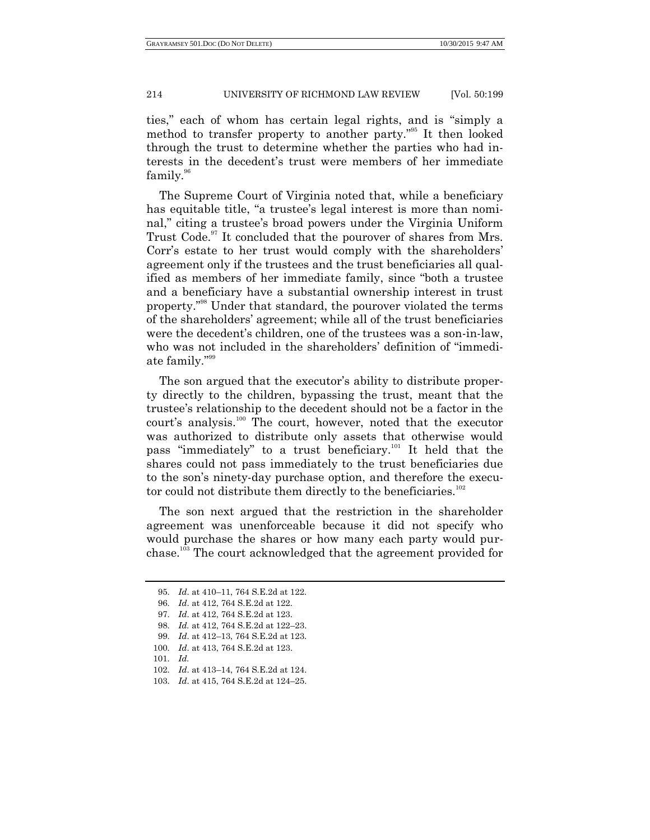ties," each of whom has certain legal rights, and is "simply a method to transfer property to another party."<sup>55</sup> It then looked through the trust to determine whether the parties who had interests in the decedent's trust were members of her immediate  $family.$ <sup>96</sup>

The Supreme Court of Virginia noted that, while a beneficiary has equitable title, "a trustee's legal interest is more than nominal," citing a trustee's broad powers under the Virginia Uniform Trust Code.<sup>97</sup> It concluded that the pourover of shares from Mrs. Corr's estate to her trust would comply with the shareholders' agreement only if the trustees and the trust beneficiaries all qualified as members of her immediate family, since "both a trustee" and a beneficiary have a substantial ownership interest in trust property."<sup>98</sup> Under that standard, the pourover violated the terms of the shareholders' agreement; while all of the trust beneficiaries were the decedent's children, one of the trustees was a son-in-law, who was not included in the shareholders' definition of "immediate family."<sup>99</sup>

The son argued that the executor's ability to distribute property directly to the children, bypassing the trust, meant that the trustee's relationship to the decedent should not be a factor in the court's analysis.<sup>100</sup> The court, however, noted that the executor was authorized to distribute only assets that otherwise would pass "immediately" to a trust beneficiary.<sup>101</sup> It held that the shares could not pass immediately to the trust beneficiaries due to the son's ninety-day purchase option, and therefore the executor could not distribute them directly to the beneficiaries. $102$ 

The son next argued that the restriction in the shareholder agreement was unenforceable because it did not specify who would purchase the shares or how many each party would purchase.<sup>103</sup> The court acknowledged that the agreement provided for

- 97. *Id*. at 412, 764 S.E.2d at 123.
- 98. *Id.* at 412, 764 S.E.2d at 122–23.
- 99. *Id*. at 412–13, 764 S.E.2d at 123.
- 100. *Id*. at 413, 764 S.E.2d at 123.
- 101. *Id.*
- 102. *Id*. at 413–14, 764 S.E.2d at 124.
- 103. *Id*. at 415, 764 S.E.2d at 124–25.

<sup>95.</sup> *Id*. at 410–11, 764 S.E.2d at 122.

<sup>96.</sup> *Id*. at 412, 764 S.E.2d at 122.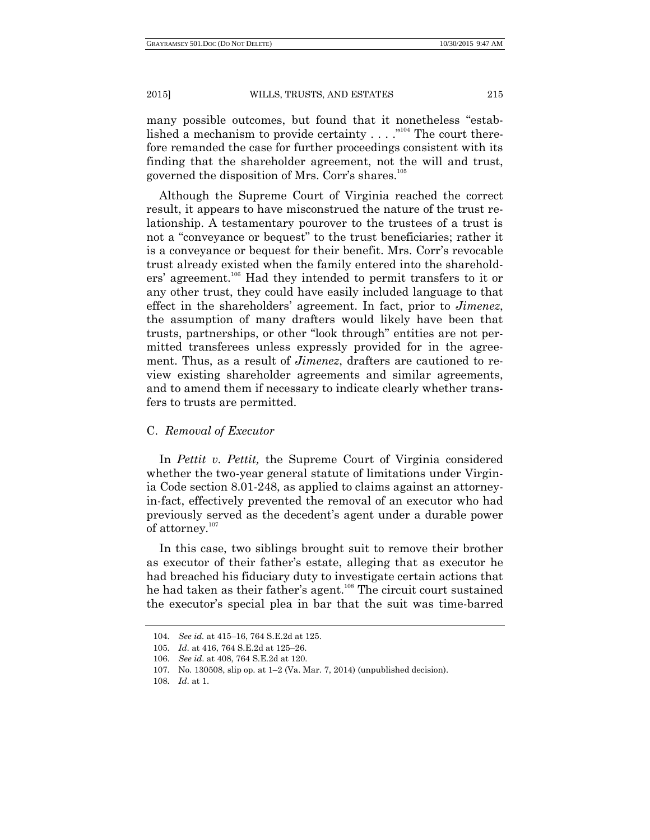many possible outcomes, but found that it nonetheless "established a mechanism to provide certainty  $\dots$ .  $\cdot$ <sup>104</sup> The court therefore remanded the case for further proceedings consistent with its finding that the shareholder agreement, not the will and trust, governed the disposition of Mrs. Corr's shares.<sup>105</sup>

Although the Supreme Court of Virginia reached the correct result, it appears to have misconstrued the nature of the trust relationship. A testamentary pourover to the trustees of a trust is not a "conveyance or bequest" to the trust beneficiaries; rather it is a conveyance or bequest for their benefit. Mrs. Corr's revocable trust already existed when the family entered into the shareholders' agreement.<sup>106</sup> Had they intended to permit transfers to it or any other trust, they could have easily included language to that effect in the shareholders' agreement. In fact, prior to *Jimenez*, the assumption of many drafters would likely have been that trusts, partnerships, or other "look through" entities are not permitted transferees unless expressly provided for in the agreement. Thus, as a result of *Jimenez*, drafters are cautioned to review existing shareholder agreements and similar agreements, and to amend them if necessary to indicate clearly whether transfers to trusts are permitted.

# C. *Removal of Executor*

In *Pettit v. Pettit,* the Supreme Court of Virginia considered whether the two-year general statute of limitations under Virginia Code section 8.01-248, as applied to claims against an attorneyin-fact, effectively prevented the removal of an executor who had previously served as the decedent's agent under a durable power of attorney.<sup>107</sup>

In this case, two siblings brought suit to remove their brother as executor of their father's estate, alleging that as executor he had breached his fiduciary duty to investigate certain actions that he had taken as their father's agent.<sup>108</sup> The circuit court sustained the executor's special plea in bar that the suit was time-barred

<sup>104.</sup> *See id.* at 415–16, 764 S.E.2d at 125.

<sup>105.</sup> *Id*. at 416, 764 S.E.2d at 125–26.

<sup>106.</sup> *See id*. at 408, 764 S.E.2d at 120.

<sup>107.</sup> No. 130508, slip op. at 1–2 (Va. Mar. 7, 2014) (unpublished decision).

<sup>108.</sup> *Id*. at 1.